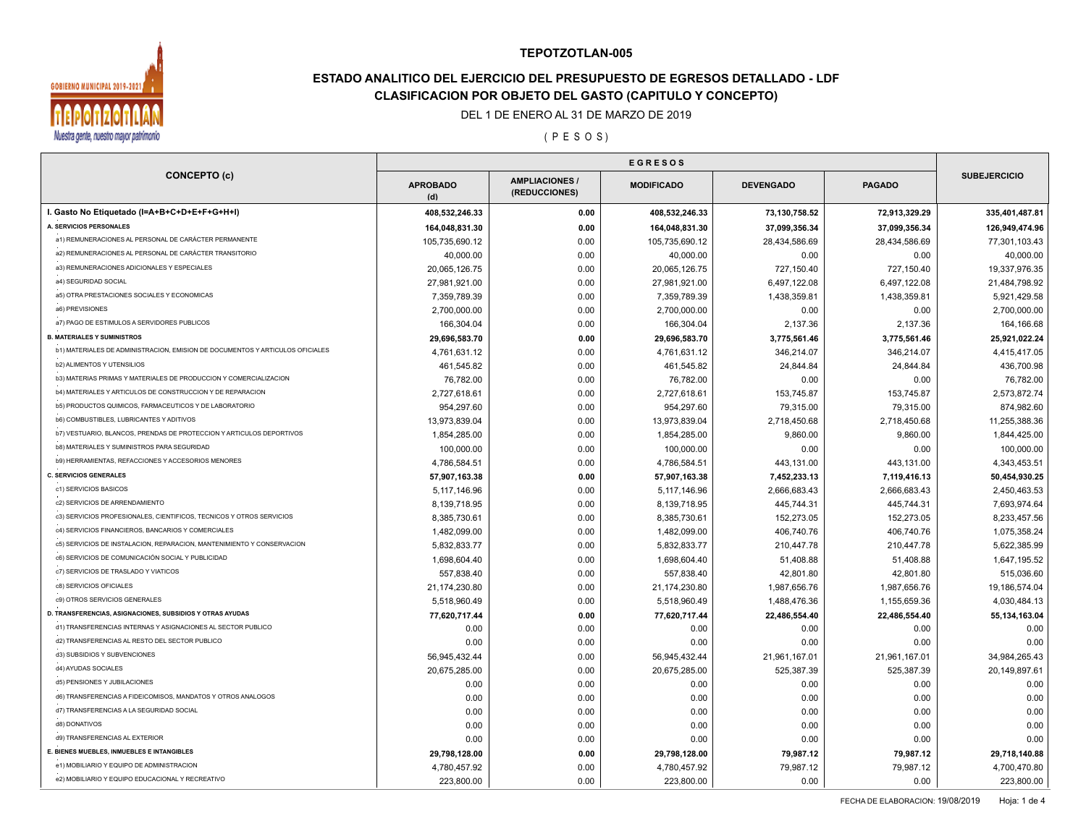

# **ESTADO ANALITICO DEL EJERCICIO DEL PRESUPUESTO DE EGRESOS DETALLADO - LDF CLASIFICACION POR OBJETO DEL GASTO (CAPITULO Y CONCEPTO)**

### DEL 1 DE ENERO AL 31 DE MARZO DE 2019

( P E S O S )

| <b>CONCEPTO (c)</b>                                                           | <b>APROBADO</b><br>(d) | <b>AMPLIACIONES/</b><br>(REDUCCIONES) | <b>MODIFICADO</b> | <b>DEVENGADO</b> | <b>PAGADO</b> | <b>SUBEJERCICIO</b> |
|-------------------------------------------------------------------------------|------------------------|---------------------------------------|-------------------|------------------|---------------|---------------------|
| I. Gasto No Etiquetado (I=A+B+C+D+E+F+G+H+I)                                  | 408,532,246.33         | 0.00                                  | 408,532,246.33    | 73,130,758.52    | 72,913,329.29 | 335,401,487.81      |
| A. SERVICIOS PERSONALES                                                       | 164,048,831.30         | 0.00                                  | 164,048,831.30    | 37,099,356.34    | 37,099,356.34 | 126,949,474.96      |
| a1) REMUNERACIONES AL PERSONAL DE CARÁCTER PERMANENTE                         | 105,735,690.12         | 0.00                                  | 105,735,690.12    | 28,434,586.69    | 28,434,586.69 | 77,301,103.43       |
| a2) REMUNERACIONES AL PERSONAL DE CARÁCTER TRANSITORIO                        | 40,000.00              | 0.00                                  | 40,000.00         | 0.00             | 0.00          | 40,000.00           |
| a3) REMUNERACIONES ADICIONALES Y ESPECIALES                                   | 20,065,126.75          | 0.00                                  | 20,065,126.75     | 727,150.40       | 727,150.40    | 19,337,976.35       |
| a4) SEGURIDAD SOCIAL                                                          | 27,981,921.00          | 0.00                                  | 27,981,921.00     | 6,497,122.08     | 6,497,122.08  | 21,484,798.92       |
| a5) OTRA PRESTACIONES SOCIALES Y ECONOMICAS                                   | 7,359,789.39           | 0.00                                  | 7,359,789.39      | 1,438,359.81     | 1,438,359.81  | 5,921,429.58        |
| a6) PREVISIONES                                                               | 2,700,000.00           | 0.00                                  | 2,700,000.00      | 0.00             | 0.00          | 2,700,000.00        |
| a7) PAGO DE ESTIMULOS A SERVIDORES PUBLICOS                                   | 166,304.04             | 0.00                                  | 166,304.04        | 2,137.36         | 2,137.36      | 164,166.68          |
| <b>B. MATERIALES Y SUMINISTROS</b>                                            | 29,696,583.70          | 0.00                                  | 29,696,583.70     | 3,775,561.46     | 3,775,561.46  | 25,921,022.24       |
| b1) MATERIALES DE ADMINISTRACION, EMISION DE DOCUMENTOS Y ARTICULOS OFICIALES | 4,761,631.12           | 0.00                                  | 4,761,631.12      | 346,214.07       | 346,214.07    | 4,415,417.05        |
| <b>b2) ALIMENTOS Y UTENSILIOS</b>                                             | 461,545.82             | 0.00                                  | 461,545.82        | 24,844.84        | 24,844.84     | 436,700.98          |
| b3) MATERIAS PRIMAS Y MATERIALES DE PRODUCCION Y COMERCIALIZACION             | 76,782.00              | 0.00                                  | 76,782.00         | 0.00             | 0.00          | 76,782.00           |
| b4) MATERIALES Y ARTICULOS DE CONSTRUCCION Y DE REPARACION                    | 2,727,618.61           | 0.00                                  | 2,727,618.61      | 153,745.87       | 153,745.87    | 2,573,872.74        |
| b5) PRODUCTOS QUIMICOS, FARMACEUTICOS Y DE LABORATORIO                        | 954,297.60             | 0.00                                  | 954,297.60        | 79,315.00        | 79,315.00     | 874,982.60          |
| <b>b6) COMBUSTIBLES, LUBRICANTES Y ADITIVOS</b>                               | 13,973,839.04          | 0.00                                  | 13,973,839.04     | 2,718,450.68     | 2,718,450.68  | 11,255,388.36       |
| b7) VESTUARIO, BLANCOS, PRENDAS DE PROTECCION Y ARTICULOS DEPORTIVOS          | 1,854,285.00           | 0.00                                  | 1,854,285.00      | 9,860.00         | 9,860.00      | 1,844,425.00        |
| <b>b8) MATERIALES Y SUMINISTROS PARA SEGURIDAD</b>                            | 100,000.00             | 0.00                                  | 100,000.00        | 0.00             | 0.00          | 100,000.00          |
| b9) HERRAMIENTAS, REFACCIONES Y ACCESORIOS MENORES                            | 4,786,584.51           | 0.00                                  | 4,786,584.51      | 443,131.00       | 443,131.00    | 4,343,453.51        |
| <b>C. SERVICIOS GENERALES</b>                                                 | 57,907,163.38          | 0.00                                  | 57,907,163.38     | 7,452,233.13     | 7,119,416.13  | 50,454,930.25       |
| c1) SERVICIOS BASICOS                                                         | 5,117,146.96           | 0.00                                  | 5,117,146.96      | 2,666,683.43     | 2,666,683.43  | 2,450,463.53        |
| c2) SERVICIOS DE ARRENDAMIENTO                                                | 8,139,718.95           | 0.00                                  | 8,139,718.95      | 445,744.31       | 445,744.31    | 7,693,974.64        |
| c3) SERVICIOS PROFESIONALES, CIENTIFICOS, TECNICOS Y OTROS SERVICIOS          | 8,385,730.61           | 0.00                                  | 8,385,730.61      | 152,273.05       | 152,273.05    | 8,233,457.56        |
| c4) SERVICIOS FINANCIEROS, BANCARIOS Y COMERCIALES                            | 1,482,099.00           | 0.00                                  | 1,482,099.00      | 406,740.76       | 406,740.76    | 1,075,358.24        |
| c5) SERVICIOS DE INSTALACION, REPARACION, MANTENIMIENTO Y CONSERVACION        | 5,832,833.77           | 0.00                                  | 5,832,833.77      | 210,447.78       | 210,447.78    | 5,622,385.99        |
| c6) SERVICIOS DE COMUNICACIÓN SOCIAL Y PUBLICIDAD                             | 1,698,604.40           | 0.00                                  | 1,698,604.40      | 51,408.88        | 51,408.88     | 1,647,195.52        |
| c7) SERVICIOS DE TRASLADO Y VIATICOS                                          | 557,838.40             | 0.00                                  | 557,838.40        | 42,801.80        | 42,801.80     | 515,036.60          |
| c8) SERVICIOS OFICIALES                                                       | 21,174,230.80          | 0.00                                  | 21,174,230.80     | 1,987,656.76     | 1,987,656.76  | 19,186,574.04       |
| c9) OTROS SERVICIOS GENERALES                                                 | 5,518,960.49           | 0.00                                  | 5,518,960.49      | 1,488,476.36     | 1,155,659.36  | 4,030,484.13        |
| D. TRANSFERENCIAS, ASIGNACIONES, SUBSIDIOS Y OTRAS AYUDAS                     | 77,620,717.44          | 0.00                                  | 77,620,717.44     | 22,486,554.40    | 22,486,554.40 | 55, 134, 163.04     |
| d1) TRANSFERENCIAS INTERNAS Y ASIGNACIONES AL SECTOR PUBLICO                  | 0.00                   | 0.00                                  | 0.00              | 0.00             | 0.00          | 0.00                |
| d2) TRANSFERENCIAS AL RESTO DEL SECTOR PUBLICO                                | 0.00                   | 0.00                                  | 0.00              | 0.00             | 0.00          | 0.00                |
| d3) SUBSIDIOS Y SUBVENCIONES                                                  | 56,945,432.44          | 0.00                                  | 56,945,432.44     | 21,961,167.01    | 21,961,167.01 | 34,984,265.43       |
| d4) AYUDAS SOCIALES                                                           | 20,675,285.00          | 0.00                                  | 20,675,285.00     | 525,387.39       | 525,387.39    | 20,149,897.61       |
| d5) PENSIONES Y JUBILACIONES                                                  | 0.00                   | 0.00                                  | 0.00              | 0.00             | 0.00          | 0.00                |
| d6) TRANSFERENCIAS A FIDEICOMISOS, MANDATOS Y OTROS ANALOGOS                  |                        | 0.00                                  | 0.00              |                  |               | 0.00                |
| d7) TRANSFERENCIAS A LA SEGURIDAD SOCIAL                                      | 0.00                   |                                       |                   | 0.00             | 0.00          |                     |
| d8) DONATIVOS                                                                 | 0.00                   | 0.00                                  | 0.00              | 0.00             | 0.00          | 0.00                |
| d9) TRANSFERENCIAS AL EXTERIOR                                                | 0.00                   | 0.00                                  | 0.00              | 0.00             | 0.00          | 0.00                |
| E. BIENES MUEBLES, INMUEBLES E INTANGIBLES                                    | 0.00                   | 0.00                                  | 0.00              | 0.00             | 0.00          | 0.00                |
| e1) MOBILIARIO Y EQUIPO DE ADMINISTRACION                                     | 29,798,128.00          | 0.00                                  | 29,798,128.00     | 79,987.12        | 79,987.12     | 29,718,140.88       |
| e2) MOBILIARIO Y EQUIPO EDUCACIONAL Y RECREATIVO                              | 4,780,457.92           | 0.00                                  | 4,780,457.92      | 79,987.12        | 79,987.12     | 4,700,470.80        |
|                                                                               | 223,800.00             | 0.00                                  | 223,800.00        | 0.00             | 0.00          | 223,800.00          |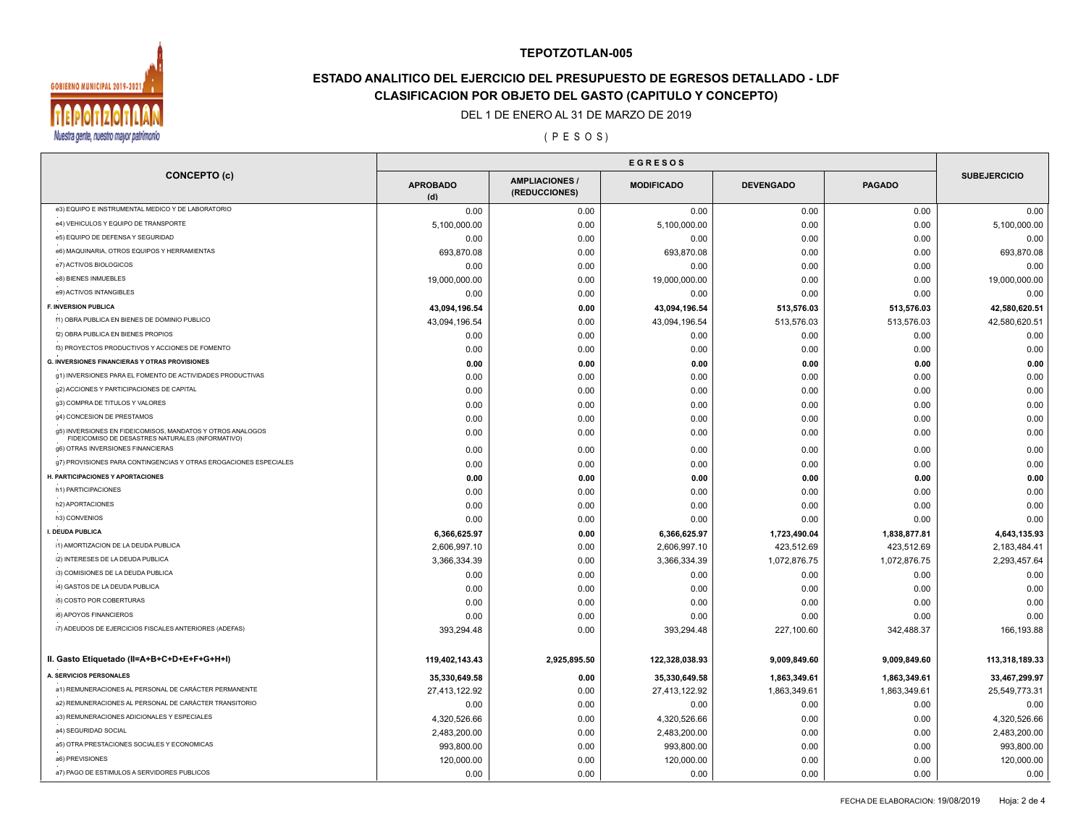

# **ESTADO ANALITICO DEL EJERCICIO DEL PRESUPUESTO DE EGRESOS DETALLADO - LDF CLASIFICACION POR OBJETO DEL GASTO (CAPITULO Y CONCEPTO)**

### DEL 1 DE ENERO AL 31 DE MARZO DE 2019

( P E S O S )

| <b>SUBEJERCICIO</b><br><b>AMPLIACIONES</b><br><b>APROBADO</b><br><b>MODIFICADO</b><br><b>DEVENGADO</b><br><b>PAGADO</b><br>(REDUCCIONES)<br>(d)<br>e3) EQUIPO E INSTRUMENTAL MEDICO Y DE LABORATORIO<br>0.00<br>0.00<br>0.00<br>0.00<br>0.00<br>e4) VEHICULOS Y EQUIPO DE TRANSPORTE<br>5,100,000.00<br>0.00<br>5,100,000.00<br>0.00<br>0.00<br>e5) EQUIPO DE DEFENSA Y SEGURIDAD<br>0.00<br>0.00<br>0.00<br>0.00<br>0.00<br>e6) MAQUINARIA, OTROS EQUIPOS Y HERRAMIENTAS<br>693,870.08<br>693,870.08<br>0.00<br>0.00<br>0.00<br>e7) ACTIVOS BIOLOGICOS<br>0.00<br>0.00<br>0.00<br>0.00<br>0.00<br>e8) BIENES INMUEBLES<br>19,000,000.00<br>19,000,000.00<br>0.00<br>0.00<br>0.00<br>e9) ACTIVOS INTANGIBLES<br>0.00<br>0.00<br>0.00<br>0.00<br>0.00<br><b>F. INVERSION PUBLICA</b><br>513,576.03<br>513,576.03<br>43,094,196.54<br>0.00<br>43,094,196.54<br>f1) OBRA PUBLICA EN BIENES DE DOMINIO PUBLICO<br>513,576.03<br>43,094,196.54<br>0.00<br>43,094,196.54<br>513,576.03<br>f2) OBRA PUBLICA EN BIENES PROPIOS<br>0.00<br>0.00<br>0.00<br>0.00<br>0.00<br>f3) PROYECTOS PRODUCTIVOS Y ACCIONES DE FOMENTO<br>0.00<br>0.00<br>0.00<br>0.00<br>0.00<br><b>G. INVERSIONES FINANCIERAS Y OTRAS PROVISIONES</b><br>0.00<br>0.00<br>0.00<br>0.00<br>0.00<br>g1) INVERSIONES PARA EL FOMENTO DE ACTIVIDADES PRODUCTIVAS<br>0.00<br>0.00<br>0.00<br>0.00<br>0.00<br>g2) ACCIONES Y PARTICIPACIONES DE CAPITAL<br>0.00<br>0.00<br>0.00<br>0.00<br>0.00<br>g3) COMPRA DE TITULOS Y VALORES<br>0.00<br>0.00<br>0.00<br>0.00<br>0.00<br>g4) CONCESION DE PRESTAMOS<br>0.00<br>0.00<br>0.00<br>0.00<br>0.00<br>g5) INVERSIONES EN FIDEICOMISOS, MANDATOS Y OTROS ANALOGOS<br>0.00<br>0.00<br>0.00<br>0.00<br>0.00<br>FIDEICOMISO DE DESASTRES NATURALES (INFORMATIVO)<br>g6) OTRAS INVERSIONES FINANCIERAS<br>0.00<br>0.00<br>0.00<br>0.00<br>0.00<br>g7) PROVISIONES PARA CONTINGENCIAS Y OTRAS EROGACIONES ESPECIALES<br>0.00<br>0.00<br>0.00<br>0.00<br>0.00<br>H. PARTICIPACIONES Y APORTACIONES<br>0.00<br>0.00<br>0.00<br>0.00<br>0.00<br>h1) PARTICIPACIONES<br>0.00<br>0.00<br>0.00<br>0.00<br>0.00<br>h2) APORTACIONES<br>0.00<br>0.00<br>0.00<br>0.00<br>0.00<br>h3) CONVENIOS<br>0.00<br>0.00<br>0.00<br>0.00<br>0.00<br>I. DEUDA PUBLICA<br>6,366,625.97<br>6,366,625.97<br>1,723,490.04<br>1,838,877.81<br>0.00<br>i1) AMORTIZACION DE LA DEUDA PUBLICA<br>2,606,997.10<br>0.00<br>2,606,997.10<br>423,512.69<br>423,512.69<br>i2) INTERESES DE LA DEUDA PUBLICA<br>1,072,876.75<br>3,366,334.39<br>0.00<br>3,366,334.39<br>1,072,876.75<br>i3) COMISIONES DE LA DEUDA PUBLICA<br>0.00<br>0.00<br>0.00<br>0.00<br>0.00<br>i4) GASTOS DE LA DEUDA PUBLICA<br>0.00<br>0.00<br>0.00<br>0.00<br>0.00<br>i5) COSTO POR COBERTURAS<br>0.00<br>0.00<br>0.00<br>0.00<br>0.00<br>i6) APOYOS FINANCIEROS<br>0.00<br>0.00<br>0.00<br>0.00<br>0.00<br>i7) ADEUDOS DE EJERCICIOS FISCALES ANTERIORES (ADEFAS)<br>0.00<br>393,294.48<br>227,100.60<br>342,488.37<br>393,294.48<br>II. Gasto Etiquetado (II=A+B+C+D+E+F+G+H+I)<br>119,402,143.43<br>2,925,895.50<br>122,328,038.93<br>9,009,849.60<br>9,009,849.60 |                     | <b>EGRESOS</b> |  |  |                |  |  |
|-------------------------------------------------------------------------------------------------------------------------------------------------------------------------------------------------------------------------------------------------------------------------------------------------------------------------------------------------------------------------------------------------------------------------------------------------------------------------------------------------------------------------------------------------------------------------------------------------------------------------------------------------------------------------------------------------------------------------------------------------------------------------------------------------------------------------------------------------------------------------------------------------------------------------------------------------------------------------------------------------------------------------------------------------------------------------------------------------------------------------------------------------------------------------------------------------------------------------------------------------------------------------------------------------------------------------------------------------------------------------------------------------------------------------------------------------------------------------------------------------------------------------------------------------------------------------------------------------------------------------------------------------------------------------------------------------------------------------------------------------------------------------------------------------------------------------------------------------------------------------------------------------------------------------------------------------------------------------------------------------------------------------------------------------------------------------------------------------------------------------------------------------------------------------------------------------------------------------------------------------------------------------------------------------------------------------------------------------------------------------------------------------------------------------------------------------------------------------------------------------------------------------------------------------------------------------------------------------------------------------------------------------------------------------------------------------------------------------------------------------------------------------------------------------------------------------------------------------------------------------------------------------------------------------------------------------------------------------------------------------------------------------------------------------------------------------------------------------------------|---------------------|----------------|--|--|----------------|--|--|
|                                                                                                                                                                                                                                                                                                                                                                                                                                                                                                                                                                                                                                                                                                                                                                                                                                                                                                                                                                                                                                                                                                                                                                                                                                                                                                                                                                                                                                                                                                                                                                                                                                                                                                                                                                                                                                                                                                                                                                                                                                                                                                                                                                                                                                                                                                                                                                                                                                                                                                                                                                                                                                                                                                                                                                                                                                                                                                                                                                                                                                                                                                             | <b>CONCEPTO (c)</b> |                |  |  |                |  |  |
|                                                                                                                                                                                                                                                                                                                                                                                                                                                                                                                                                                                                                                                                                                                                                                                                                                                                                                                                                                                                                                                                                                                                                                                                                                                                                                                                                                                                                                                                                                                                                                                                                                                                                                                                                                                                                                                                                                                                                                                                                                                                                                                                                                                                                                                                                                                                                                                                                                                                                                                                                                                                                                                                                                                                                                                                                                                                                                                                                                                                                                                                                                             |                     |                |  |  | 0.00           |  |  |
|                                                                                                                                                                                                                                                                                                                                                                                                                                                                                                                                                                                                                                                                                                                                                                                                                                                                                                                                                                                                                                                                                                                                                                                                                                                                                                                                                                                                                                                                                                                                                                                                                                                                                                                                                                                                                                                                                                                                                                                                                                                                                                                                                                                                                                                                                                                                                                                                                                                                                                                                                                                                                                                                                                                                                                                                                                                                                                                                                                                                                                                                                                             |                     |                |  |  | 5,100,000.00   |  |  |
|                                                                                                                                                                                                                                                                                                                                                                                                                                                                                                                                                                                                                                                                                                                                                                                                                                                                                                                                                                                                                                                                                                                                                                                                                                                                                                                                                                                                                                                                                                                                                                                                                                                                                                                                                                                                                                                                                                                                                                                                                                                                                                                                                                                                                                                                                                                                                                                                                                                                                                                                                                                                                                                                                                                                                                                                                                                                                                                                                                                                                                                                                                             |                     |                |  |  | 0.00           |  |  |
|                                                                                                                                                                                                                                                                                                                                                                                                                                                                                                                                                                                                                                                                                                                                                                                                                                                                                                                                                                                                                                                                                                                                                                                                                                                                                                                                                                                                                                                                                                                                                                                                                                                                                                                                                                                                                                                                                                                                                                                                                                                                                                                                                                                                                                                                                                                                                                                                                                                                                                                                                                                                                                                                                                                                                                                                                                                                                                                                                                                                                                                                                                             |                     |                |  |  | 693,870.08     |  |  |
|                                                                                                                                                                                                                                                                                                                                                                                                                                                                                                                                                                                                                                                                                                                                                                                                                                                                                                                                                                                                                                                                                                                                                                                                                                                                                                                                                                                                                                                                                                                                                                                                                                                                                                                                                                                                                                                                                                                                                                                                                                                                                                                                                                                                                                                                                                                                                                                                                                                                                                                                                                                                                                                                                                                                                                                                                                                                                                                                                                                                                                                                                                             |                     |                |  |  | 0.00           |  |  |
|                                                                                                                                                                                                                                                                                                                                                                                                                                                                                                                                                                                                                                                                                                                                                                                                                                                                                                                                                                                                                                                                                                                                                                                                                                                                                                                                                                                                                                                                                                                                                                                                                                                                                                                                                                                                                                                                                                                                                                                                                                                                                                                                                                                                                                                                                                                                                                                                                                                                                                                                                                                                                                                                                                                                                                                                                                                                                                                                                                                                                                                                                                             |                     |                |  |  | 19,000,000.00  |  |  |
|                                                                                                                                                                                                                                                                                                                                                                                                                                                                                                                                                                                                                                                                                                                                                                                                                                                                                                                                                                                                                                                                                                                                                                                                                                                                                                                                                                                                                                                                                                                                                                                                                                                                                                                                                                                                                                                                                                                                                                                                                                                                                                                                                                                                                                                                                                                                                                                                                                                                                                                                                                                                                                                                                                                                                                                                                                                                                                                                                                                                                                                                                                             |                     |                |  |  | 0.00           |  |  |
|                                                                                                                                                                                                                                                                                                                                                                                                                                                                                                                                                                                                                                                                                                                                                                                                                                                                                                                                                                                                                                                                                                                                                                                                                                                                                                                                                                                                                                                                                                                                                                                                                                                                                                                                                                                                                                                                                                                                                                                                                                                                                                                                                                                                                                                                                                                                                                                                                                                                                                                                                                                                                                                                                                                                                                                                                                                                                                                                                                                                                                                                                                             |                     |                |  |  | 42,580,620.51  |  |  |
|                                                                                                                                                                                                                                                                                                                                                                                                                                                                                                                                                                                                                                                                                                                                                                                                                                                                                                                                                                                                                                                                                                                                                                                                                                                                                                                                                                                                                                                                                                                                                                                                                                                                                                                                                                                                                                                                                                                                                                                                                                                                                                                                                                                                                                                                                                                                                                                                                                                                                                                                                                                                                                                                                                                                                                                                                                                                                                                                                                                                                                                                                                             |                     |                |  |  | 42,580,620.51  |  |  |
|                                                                                                                                                                                                                                                                                                                                                                                                                                                                                                                                                                                                                                                                                                                                                                                                                                                                                                                                                                                                                                                                                                                                                                                                                                                                                                                                                                                                                                                                                                                                                                                                                                                                                                                                                                                                                                                                                                                                                                                                                                                                                                                                                                                                                                                                                                                                                                                                                                                                                                                                                                                                                                                                                                                                                                                                                                                                                                                                                                                                                                                                                                             |                     |                |  |  | 0.00           |  |  |
|                                                                                                                                                                                                                                                                                                                                                                                                                                                                                                                                                                                                                                                                                                                                                                                                                                                                                                                                                                                                                                                                                                                                                                                                                                                                                                                                                                                                                                                                                                                                                                                                                                                                                                                                                                                                                                                                                                                                                                                                                                                                                                                                                                                                                                                                                                                                                                                                                                                                                                                                                                                                                                                                                                                                                                                                                                                                                                                                                                                                                                                                                                             |                     |                |  |  | 0.00           |  |  |
|                                                                                                                                                                                                                                                                                                                                                                                                                                                                                                                                                                                                                                                                                                                                                                                                                                                                                                                                                                                                                                                                                                                                                                                                                                                                                                                                                                                                                                                                                                                                                                                                                                                                                                                                                                                                                                                                                                                                                                                                                                                                                                                                                                                                                                                                                                                                                                                                                                                                                                                                                                                                                                                                                                                                                                                                                                                                                                                                                                                                                                                                                                             |                     |                |  |  | 0.00           |  |  |
|                                                                                                                                                                                                                                                                                                                                                                                                                                                                                                                                                                                                                                                                                                                                                                                                                                                                                                                                                                                                                                                                                                                                                                                                                                                                                                                                                                                                                                                                                                                                                                                                                                                                                                                                                                                                                                                                                                                                                                                                                                                                                                                                                                                                                                                                                                                                                                                                                                                                                                                                                                                                                                                                                                                                                                                                                                                                                                                                                                                                                                                                                                             |                     |                |  |  | 0.00           |  |  |
|                                                                                                                                                                                                                                                                                                                                                                                                                                                                                                                                                                                                                                                                                                                                                                                                                                                                                                                                                                                                                                                                                                                                                                                                                                                                                                                                                                                                                                                                                                                                                                                                                                                                                                                                                                                                                                                                                                                                                                                                                                                                                                                                                                                                                                                                                                                                                                                                                                                                                                                                                                                                                                                                                                                                                                                                                                                                                                                                                                                                                                                                                                             |                     |                |  |  | 0.00           |  |  |
|                                                                                                                                                                                                                                                                                                                                                                                                                                                                                                                                                                                                                                                                                                                                                                                                                                                                                                                                                                                                                                                                                                                                                                                                                                                                                                                                                                                                                                                                                                                                                                                                                                                                                                                                                                                                                                                                                                                                                                                                                                                                                                                                                                                                                                                                                                                                                                                                                                                                                                                                                                                                                                                                                                                                                                                                                                                                                                                                                                                                                                                                                                             |                     |                |  |  | 0.00           |  |  |
|                                                                                                                                                                                                                                                                                                                                                                                                                                                                                                                                                                                                                                                                                                                                                                                                                                                                                                                                                                                                                                                                                                                                                                                                                                                                                                                                                                                                                                                                                                                                                                                                                                                                                                                                                                                                                                                                                                                                                                                                                                                                                                                                                                                                                                                                                                                                                                                                                                                                                                                                                                                                                                                                                                                                                                                                                                                                                                                                                                                                                                                                                                             |                     |                |  |  | 0.00           |  |  |
|                                                                                                                                                                                                                                                                                                                                                                                                                                                                                                                                                                                                                                                                                                                                                                                                                                                                                                                                                                                                                                                                                                                                                                                                                                                                                                                                                                                                                                                                                                                                                                                                                                                                                                                                                                                                                                                                                                                                                                                                                                                                                                                                                                                                                                                                                                                                                                                                                                                                                                                                                                                                                                                                                                                                                                                                                                                                                                                                                                                                                                                                                                             |                     |                |  |  | 0.00           |  |  |
|                                                                                                                                                                                                                                                                                                                                                                                                                                                                                                                                                                                                                                                                                                                                                                                                                                                                                                                                                                                                                                                                                                                                                                                                                                                                                                                                                                                                                                                                                                                                                                                                                                                                                                                                                                                                                                                                                                                                                                                                                                                                                                                                                                                                                                                                                                                                                                                                                                                                                                                                                                                                                                                                                                                                                                                                                                                                                                                                                                                                                                                                                                             |                     |                |  |  | 0.00           |  |  |
|                                                                                                                                                                                                                                                                                                                                                                                                                                                                                                                                                                                                                                                                                                                                                                                                                                                                                                                                                                                                                                                                                                                                                                                                                                                                                                                                                                                                                                                                                                                                                                                                                                                                                                                                                                                                                                                                                                                                                                                                                                                                                                                                                                                                                                                                                                                                                                                                                                                                                                                                                                                                                                                                                                                                                                                                                                                                                                                                                                                                                                                                                                             |                     |                |  |  | 0.00           |  |  |
|                                                                                                                                                                                                                                                                                                                                                                                                                                                                                                                                                                                                                                                                                                                                                                                                                                                                                                                                                                                                                                                                                                                                                                                                                                                                                                                                                                                                                                                                                                                                                                                                                                                                                                                                                                                                                                                                                                                                                                                                                                                                                                                                                                                                                                                                                                                                                                                                                                                                                                                                                                                                                                                                                                                                                                                                                                                                                                                                                                                                                                                                                                             |                     |                |  |  | 0.00           |  |  |
|                                                                                                                                                                                                                                                                                                                                                                                                                                                                                                                                                                                                                                                                                                                                                                                                                                                                                                                                                                                                                                                                                                                                                                                                                                                                                                                                                                                                                                                                                                                                                                                                                                                                                                                                                                                                                                                                                                                                                                                                                                                                                                                                                                                                                                                                                                                                                                                                                                                                                                                                                                                                                                                                                                                                                                                                                                                                                                                                                                                                                                                                                                             |                     |                |  |  | 0.00           |  |  |
|                                                                                                                                                                                                                                                                                                                                                                                                                                                                                                                                                                                                                                                                                                                                                                                                                                                                                                                                                                                                                                                                                                                                                                                                                                                                                                                                                                                                                                                                                                                                                                                                                                                                                                                                                                                                                                                                                                                                                                                                                                                                                                                                                                                                                                                                                                                                                                                                                                                                                                                                                                                                                                                                                                                                                                                                                                                                                                                                                                                                                                                                                                             |                     |                |  |  | 0.00           |  |  |
|                                                                                                                                                                                                                                                                                                                                                                                                                                                                                                                                                                                                                                                                                                                                                                                                                                                                                                                                                                                                                                                                                                                                                                                                                                                                                                                                                                                                                                                                                                                                                                                                                                                                                                                                                                                                                                                                                                                                                                                                                                                                                                                                                                                                                                                                                                                                                                                                                                                                                                                                                                                                                                                                                                                                                                                                                                                                                                                                                                                                                                                                                                             |                     |                |  |  | 0.00           |  |  |
|                                                                                                                                                                                                                                                                                                                                                                                                                                                                                                                                                                                                                                                                                                                                                                                                                                                                                                                                                                                                                                                                                                                                                                                                                                                                                                                                                                                                                                                                                                                                                                                                                                                                                                                                                                                                                                                                                                                                                                                                                                                                                                                                                                                                                                                                                                                                                                                                                                                                                                                                                                                                                                                                                                                                                                                                                                                                                                                                                                                                                                                                                                             |                     |                |  |  | 4,643,135.93   |  |  |
|                                                                                                                                                                                                                                                                                                                                                                                                                                                                                                                                                                                                                                                                                                                                                                                                                                                                                                                                                                                                                                                                                                                                                                                                                                                                                                                                                                                                                                                                                                                                                                                                                                                                                                                                                                                                                                                                                                                                                                                                                                                                                                                                                                                                                                                                                                                                                                                                                                                                                                                                                                                                                                                                                                                                                                                                                                                                                                                                                                                                                                                                                                             |                     |                |  |  | 2,183,484.41   |  |  |
|                                                                                                                                                                                                                                                                                                                                                                                                                                                                                                                                                                                                                                                                                                                                                                                                                                                                                                                                                                                                                                                                                                                                                                                                                                                                                                                                                                                                                                                                                                                                                                                                                                                                                                                                                                                                                                                                                                                                                                                                                                                                                                                                                                                                                                                                                                                                                                                                                                                                                                                                                                                                                                                                                                                                                                                                                                                                                                                                                                                                                                                                                                             |                     |                |  |  | 2,293,457.64   |  |  |
|                                                                                                                                                                                                                                                                                                                                                                                                                                                                                                                                                                                                                                                                                                                                                                                                                                                                                                                                                                                                                                                                                                                                                                                                                                                                                                                                                                                                                                                                                                                                                                                                                                                                                                                                                                                                                                                                                                                                                                                                                                                                                                                                                                                                                                                                                                                                                                                                                                                                                                                                                                                                                                                                                                                                                                                                                                                                                                                                                                                                                                                                                                             |                     |                |  |  | 0.00           |  |  |
|                                                                                                                                                                                                                                                                                                                                                                                                                                                                                                                                                                                                                                                                                                                                                                                                                                                                                                                                                                                                                                                                                                                                                                                                                                                                                                                                                                                                                                                                                                                                                                                                                                                                                                                                                                                                                                                                                                                                                                                                                                                                                                                                                                                                                                                                                                                                                                                                                                                                                                                                                                                                                                                                                                                                                                                                                                                                                                                                                                                                                                                                                                             |                     |                |  |  | 0.00           |  |  |
|                                                                                                                                                                                                                                                                                                                                                                                                                                                                                                                                                                                                                                                                                                                                                                                                                                                                                                                                                                                                                                                                                                                                                                                                                                                                                                                                                                                                                                                                                                                                                                                                                                                                                                                                                                                                                                                                                                                                                                                                                                                                                                                                                                                                                                                                                                                                                                                                                                                                                                                                                                                                                                                                                                                                                                                                                                                                                                                                                                                                                                                                                                             |                     |                |  |  | 0.00           |  |  |
|                                                                                                                                                                                                                                                                                                                                                                                                                                                                                                                                                                                                                                                                                                                                                                                                                                                                                                                                                                                                                                                                                                                                                                                                                                                                                                                                                                                                                                                                                                                                                                                                                                                                                                                                                                                                                                                                                                                                                                                                                                                                                                                                                                                                                                                                                                                                                                                                                                                                                                                                                                                                                                                                                                                                                                                                                                                                                                                                                                                                                                                                                                             |                     |                |  |  | 0.00           |  |  |
|                                                                                                                                                                                                                                                                                                                                                                                                                                                                                                                                                                                                                                                                                                                                                                                                                                                                                                                                                                                                                                                                                                                                                                                                                                                                                                                                                                                                                                                                                                                                                                                                                                                                                                                                                                                                                                                                                                                                                                                                                                                                                                                                                                                                                                                                                                                                                                                                                                                                                                                                                                                                                                                                                                                                                                                                                                                                                                                                                                                                                                                                                                             |                     |                |  |  | 166,193.88     |  |  |
|                                                                                                                                                                                                                                                                                                                                                                                                                                                                                                                                                                                                                                                                                                                                                                                                                                                                                                                                                                                                                                                                                                                                                                                                                                                                                                                                                                                                                                                                                                                                                                                                                                                                                                                                                                                                                                                                                                                                                                                                                                                                                                                                                                                                                                                                                                                                                                                                                                                                                                                                                                                                                                                                                                                                                                                                                                                                                                                                                                                                                                                                                                             |                     |                |  |  | 113,318,189.33 |  |  |
| A. SERVICIOS PERSONALES<br>35,330,649.58<br>1,863,349.61<br>35,330,649.58<br>1,863,349.61<br>0.00                                                                                                                                                                                                                                                                                                                                                                                                                                                                                                                                                                                                                                                                                                                                                                                                                                                                                                                                                                                                                                                                                                                                                                                                                                                                                                                                                                                                                                                                                                                                                                                                                                                                                                                                                                                                                                                                                                                                                                                                                                                                                                                                                                                                                                                                                                                                                                                                                                                                                                                                                                                                                                                                                                                                                                                                                                                                                                                                                                                                           |                     |                |  |  | 33,467,299.97  |  |  |
| a1) REMUNERACIONES AL PERSONAL DE CARÁCTER PERMANENTE<br>27,413,122.92<br>0.00<br>27,413,122.92<br>1,863,349.61<br>1,863,349.61                                                                                                                                                                                                                                                                                                                                                                                                                                                                                                                                                                                                                                                                                                                                                                                                                                                                                                                                                                                                                                                                                                                                                                                                                                                                                                                                                                                                                                                                                                                                                                                                                                                                                                                                                                                                                                                                                                                                                                                                                                                                                                                                                                                                                                                                                                                                                                                                                                                                                                                                                                                                                                                                                                                                                                                                                                                                                                                                                                             |                     |                |  |  | 25,549,773.31  |  |  |
| a2) REMUNERACIONES AL PERSONAL DE CARÁCTER TRANSITORIO<br>0.00<br>0.00<br>0.00<br>0.00<br>0.00                                                                                                                                                                                                                                                                                                                                                                                                                                                                                                                                                                                                                                                                                                                                                                                                                                                                                                                                                                                                                                                                                                                                                                                                                                                                                                                                                                                                                                                                                                                                                                                                                                                                                                                                                                                                                                                                                                                                                                                                                                                                                                                                                                                                                                                                                                                                                                                                                                                                                                                                                                                                                                                                                                                                                                                                                                                                                                                                                                                                              |                     |                |  |  | 0.00           |  |  |
| a3) REMUNERACIONES ADICIONALES Y ESPECIALES<br>4,320,526.66<br>0.00<br>4,320,526.66<br>0.00<br>0.00                                                                                                                                                                                                                                                                                                                                                                                                                                                                                                                                                                                                                                                                                                                                                                                                                                                                                                                                                                                                                                                                                                                                                                                                                                                                                                                                                                                                                                                                                                                                                                                                                                                                                                                                                                                                                                                                                                                                                                                                                                                                                                                                                                                                                                                                                                                                                                                                                                                                                                                                                                                                                                                                                                                                                                                                                                                                                                                                                                                                         |                     |                |  |  | 4,320,526.66   |  |  |
| a4) SEGURIDAD SOCIAL<br>2,483,200.00<br>2,483,200.00<br>0.00<br>0.00<br>0.00                                                                                                                                                                                                                                                                                                                                                                                                                                                                                                                                                                                                                                                                                                                                                                                                                                                                                                                                                                                                                                                                                                                                                                                                                                                                                                                                                                                                                                                                                                                                                                                                                                                                                                                                                                                                                                                                                                                                                                                                                                                                                                                                                                                                                                                                                                                                                                                                                                                                                                                                                                                                                                                                                                                                                                                                                                                                                                                                                                                                                                |                     |                |  |  | 2,483,200.00   |  |  |
| a5) OTRA PRESTACIONES SOCIALES Y ECONOMICAS<br>993,800.00<br>993,800.00<br>0.00<br>0.00<br>0.00                                                                                                                                                                                                                                                                                                                                                                                                                                                                                                                                                                                                                                                                                                                                                                                                                                                                                                                                                                                                                                                                                                                                                                                                                                                                                                                                                                                                                                                                                                                                                                                                                                                                                                                                                                                                                                                                                                                                                                                                                                                                                                                                                                                                                                                                                                                                                                                                                                                                                                                                                                                                                                                                                                                                                                                                                                                                                                                                                                                                             |                     |                |  |  | 993,800.00     |  |  |
| a6) PREVISIONES<br>120,000.00<br>0.00<br>120,000.00<br>0.00<br>0.00                                                                                                                                                                                                                                                                                                                                                                                                                                                                                                                                                                                                                                                                                                                                                                                                                                                                                                                                                                                                                                                                                                                                                                                                                                                                                                                                                                                                                                                                                                                                                                                                                                                                                                                                                                                                                                                                                                                                                                                                                                                                                                                                                                                                                                                                                                                                                                                                                                                                                                                                                                                                                                                                                                                                                                                                                                                                                                                                                                                                                                         |                     |                |  |  | 120,000.00     |  |  |
| a7) PAGO DE ESTIMULOS A SERVIDORES PUBLICOS<br>0.00<br>0.00<br>0.00<br>0.00<br>0.00                                                                                                                                                                                                                                                                                                                                                                                                                                                                                                                                                                                                                                                                                                                                                                                                                                                                                                                                                                                                                                                                                                                                                                                                                                                                                                                                                                                                                                                                                                                                                                                                                                                                                                                                                                                                                                                                                                                                                                                                                                                                                                                                                                                                                                                                                                                                                                                                                                                                                                                                                                                                                                                                                                                                                                                                                                                                                                                                                                                                                         |                     |                |  |  | 0.00           |  |  |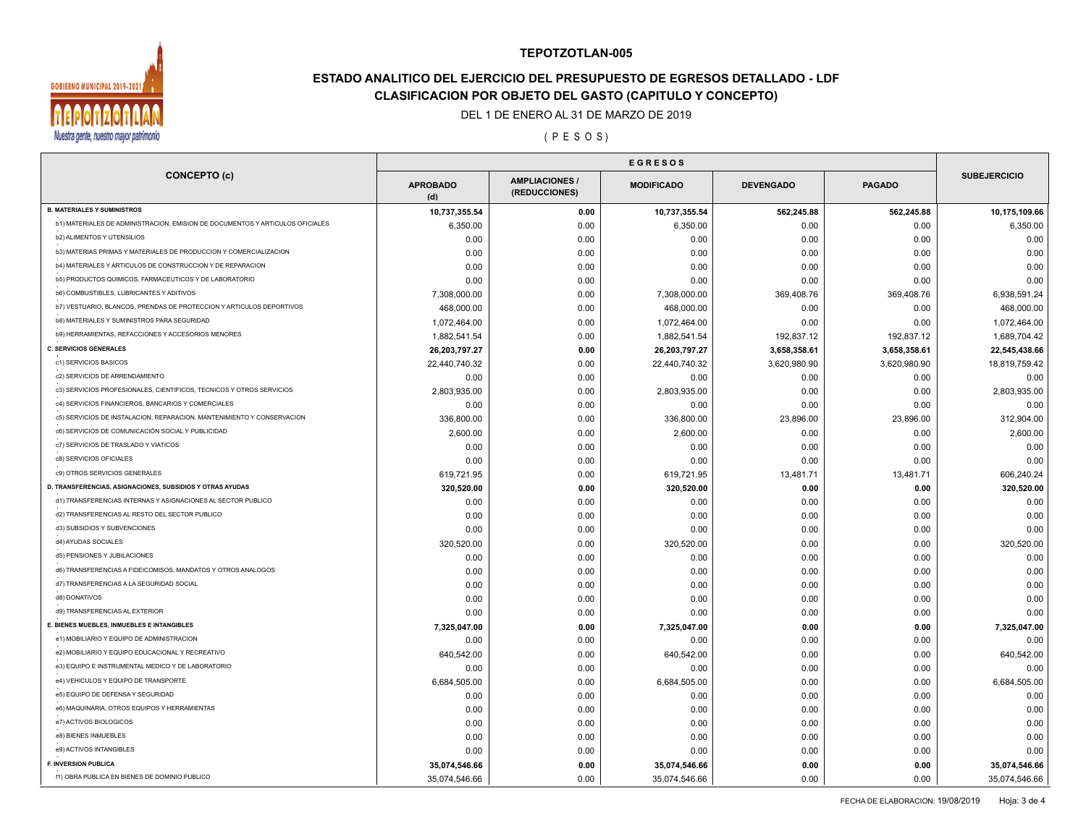

# **ESTADO ANALITICO DEL EJERCICIO DEL PRESUPUESTO DE EGRESOS DETALLADO - LDF CLASIFICACION POR OBJETO DEL GASTO (CAPITULO Y CONCEPTO)**

### DEL 1 DE ENERO AL 31 DE MARZO DE 2019

( P E S O S )

| <b>CONCEPTO (c)</b>                                                           | <b>APROBADO</b><br>(d) | <b>AMPLIACIONES</b><br>(REDUCCIONES) | <b>MODIFICADO</b> | <b>DEVENGADO</b> | <b>PAGADO</b> | <b>SUBEJERCICIO</b> |
|-------------------------------------------------------------------------------|------------------------|--------------------------------------|-------------------|------------------|---------------|---------------------|
| <b>B. MATERIALES Y SUMINISTROS</b>                                            | 10,737,355.54          | 0.00                                 | 10,737,355.54     | 562,245.88       | 562,245.88    | 10,175,109.66       |
| b1) MATERIALES DE ADMINISTRACION, EMISION DE DOCUMENTOS Y ARTICULOS OFICIALES | 6,350.00               | 0.00                                 | 6,350.00          | 0.00             | 0.00          | 6,350.00            |
| <b>b2) ALIMENTOS Y UTENSILIOS</b>                                             | 0.00                   | 0.00                                 | 0.00              | 0.00             | 0.00          | 0.00                |
| b3) MATERIAS PRIMAS Y MATERIALES DE PRODUCCION Y COMERCIALIZACION             | 0.00                   | 0.00                                 | 0.00              | 0.00             | 0.00          | 0.00                |
| b4) MATERIALES Y ARTICULOS DE CONSTRUCCION Y DE REPARACION                    | 0.00                   | 0.00                                 | 0.00              | 0.00             | 0.00          | 0.00                |
| b5) PRODUCTOS QUIMICOS, FARMACEUTICOS Y DE LABORATORIO                        | 0.00                   | 0.00                                 | 0.00              | 0.00             | 0.00          | 0.00                |
| b6) COMBUSTIBLES, LUBRICANTES Y ADITIVOS                                      | 7,308,000.00           | 0.00                                 | 7,308,000.00      | 369,408.76       | 369,408.76    | 6,938,591.24        |
| b7) VESTUARIO, BLANCOS, PRENDAS DE PROTECCION Y ARTICULOS DEPORTIVOS          | 468,000.00             | 0.00                                 | 468,000.00        | 0.00             | 0.00          | 468,000.00          |
| b8) MATERIALES Y SUMINISTROS PARA SEGURIDAD                                   | 1,072,464.00           | 0.00                                 | 1,072,464.00      | 0.00             | 0.00          | 1,072,464.00        |
| b9) HERRAMIENTAS, REFACCIONES Y ACCESORIOS MENORES                            | 1,882,541.54           | 0.00                                 | 1,882,541.54      | 192,837.12       | 192,837.12    | 1,689,704.42        |
| <b>C. SERVICIOS GENERALES</b>                                                 | 26,203,797.27          | 0.00                                 | 26,203,797.27     | 3,658,358.61     | 3,658,358.61  | 22,545,438.66       |
| c1) SERVICIOS BASICOS                                                         | 22,440,740.32          | 0.00                                 | 22,440,740.32     | 3,620,980.90     | 3,620,980.90  | 18,819,759.42       |
| c2) SERVICIOS DE ARRENDAMIENTO                                                | 0.00                   | 0.00                                 | 0.00              | 0.00             | 0.00          | 0.00                |
| c3) SERVICIOS PROFESIONALES, CIENTIFICOS, TECNICOS Y OTROS SERVICIOS          | 2,803,935.00           | 0.00                                 | 2,803,935.00      | 0.00             | 0.00          | 2,803,935.00        |
| c4) SERVICIOS FINANCIEROS, BANCARIOS Y COMERCIALES                            | 0.00                   | 0.00                                 | 0.00              | 0.00             | 0.00          | 0.00                |
| c5) SERVICIOS DE INSTALACION, REPARACION, MANTENIMIENTO Y CONSERVACION        | 336,800.00             | 0.00                                 | 336,800.00        | 23,896.00        | 23,896.00     | 312,904.00          |
| c6) SERVICIOS DE COMUNICACIÓN SOCIAL Y PUBLICIDAD                             | 2,600.00               | 0.00                                 | 2,600.00          | 0.00             | 0.00          | 2,600.00            |
| c7) SERVICIOS DE TRASLADO Y VIATICOS                                          | 0.00                   | 0.00                                 | 0.00              | 0.00             | 0.00          | 0.00                |
| c8) SERVICIOS OFICIALES                                                       | 0.00                   | 0.00                                 | 0.00              | 0.00             | 0.00          | 0.00                |
| c9) OTROS SERVICIOS GENERALES                                                 | 619,721.95             | 0.00                                 | 619,721.95        | 13,481.71        | 13,481.71     | 606,240.24          |
| D. TRANSFERENCIAS, ASIGNACIONES, SUBSIDIOS Y OTRAS AYUDAS                     |                        | 0.00                                 |                   |                  |               | 320,520.00          |
| d1) TRANSFERENCIAS INTERNAS Y ASIGNACIONES AL SECTOR PUBLICO                  | 320,520.00             |                                      | 320,520.00        | 0.00             | 0.00<br>0.00  |                     |
| d2) TRANSFERENCIAS AL RESTO DEL SECTOR PUBLICO                                | 0.00                   | 0.00                                 | 0.00              | 0.00             |               | 0.00                |
| d3) SUBSIDIOS Y SUBVENCIONES                                                  | 0.00                   | 0.00                                 | 0.00              | 0.00             | 0.00          | 0.00                |
| d4) AYUDAS SOCIALES                                                           | 0.00                   | 0.00                                 | 0.00              | 0.00             | 0.00          | 0.00                |
| d5) PENSIONES Y JUBILACIONES                                                  | 320,520.00             | 0.00                                 | 320,520.00        | 0.00             | 0.00          | 320,520.00          |
| d6) TRANSFERENCIAS A FIDEICOMISOS, MANDATOS Y OTROS ANALOGOS                  | 0.00                   | 0.00                                 | 0.00              | 0.00             | 0.00          | 0.00                |
|                                                                               | 0.00                   | 0.00                                 | 0.00              | 0.00             | 0.00          | 0.00                |
| d7) TRANSFERENCIAS A LA SEGURIDAD SOCIAL                                      | 0.00                   | 0.00                                 | 0.00              | 0.00             | 0.00          | 0.00                |
| d8) DONATIVOS                                                                 | 0.00                   | 0.00                                 | 0.00              | 0.00             | 0.00          | 0.00                |
| d9) TRANSFERENCIAS AL EXTERIOR                                                | 0.00                   | 0.00                                 | 0.00              | 0.00             | 0.00          | 0.00                |
| E. BIENES MUEBLES, INMUEBLES E INTANGIBLES                                    | 7,325,047.00           | 0.00                                 | 7,325,047.00      | 0.00             | 0.00          | 7,325,047.00        |
| e1) MOBILIARIO Y EQUIPO DE ADMINISTRACION                                     | 0.00                   | 0.00                                 | 0.00              | 0.00             | 0.00          | 0.00                |
| e2) MOBILIARIO Y EQUIPO EDUCACIONAL Y RECREATIVO                              | 640,542.00             | 0.00                                 | 640,542.00        | 0.00             | 0.00          | 640,542.00          |
| e3) EQUIPO E INSTRUMENTAL MEDICO Y DE LABORATORIO                             | 0.00                   | 0.00                                 | 0.00              | 0.00             | 0.00          | 0.00                |
| e4) VEHICULOS Y EQUIPO DE TRANSPORTE                                          | 6,684,505.00           | 0.00                                 | 6,684,505.00      | 0.00             | 0.00          | 6,684,505.00        |
| e5) EQUIPO DE DEFENSA Y SEGURIDAD                                             | 0.00                   | 0.00                                 | 0.00              | 0.00             | 0.00          | 0.00                |
| e6) MAQUINARIA, OTROS EQUIPOS Y HERRAMIENTAS                                  | 0.00                   | 0.00                                 | 0.00              | 0.00             | 0.00          | 0.00                |
| e7) ACTIVOS BIOLOGICOS                                                        | 0.00                   | 0.00                                 | 0.00              | 0.00             | 0.00          | 0.00                |
| e8) BIENES INMUEBLES                                                          | 0.00                   | 0.00                                 | 0.00              | 0.00             | 0.00          | 0.00                |
| e9) ACTIVOS INTANGIBLES                                                       | 0.00                   | 0.00                                 | 0.00              | 0.00             | 0.00          | 0.00                |
| <b>F. INVERSION PUBLICA</b>                                                   | 35,074,546.66          | 0.00                                 | 35,074,546.66     | 0.00             | 0.00          | 35,074,546.66       |
| f1) OBRA PUBLICA EN BIENES DE DOMINIO PUBLICO                                 | 35,074,546.66          | 0.00                                 | 35,074,546.66     | 0.00             | 0.00          | 35,074,546.66       |